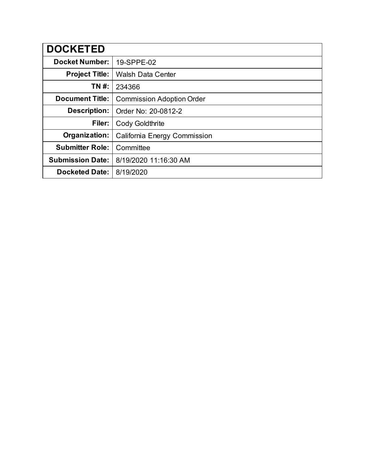| <b>DOCKETED</b>         |                                  |
|-------------------------|----------------------------------|
| <b>Docket Number:</b>   | 19-SPPE-02                       |
| <b>Project Title:</b>   | <b>Walsh Data Center</b>         |
| TN #:                   | 234366                           |
| <b>Document Title:</b>  | <b>Commission Adoption Order</b> |
| <b>Description:</b>     | Order No: 20-0812-2              |
| Filer:                  | <b>Cody Goldthrite</b>           |
| Organization:           | California Energy Commission     |
| <b>Submitter Role:</b>  | Committee                        |
| <b>Submission Date:</b> | 8/19/2020 11:16:30 AM            |
| <b>Docketed Date:</b>   | 8/19/2020                        |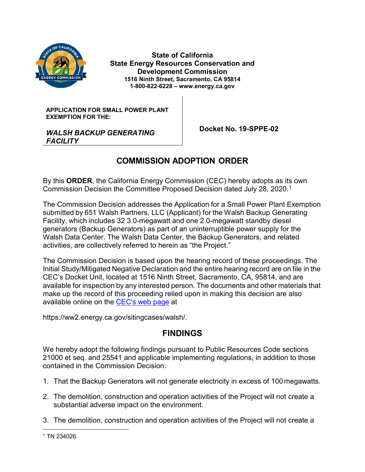

**State of California State Energy Resources Conservation and Development Commission 1516 Ninth Street, Sacramento, CA 95814 1-800-822-6228 – www.energy.ca.gov**

**APPLICATION FOR SMALL POWER PLANT EXEMPTION FOR THE:**

 **Docket No. 19-SPPE-02**

#### *WALSH BACKUP GENERATING FACILITY*

## **COMMISSION ADOPTION ORDER**

By this **ORDER**, the California Energy Commission (CEC) hereby adopts as its own Commission Decision the Committee Proposed Decision dated July 28, 2020. [1](#page-1-0)

The Commission Decision addresses the Application for a Small Power Plant Exemption submitted by 651 Walsh Partners, LLC (Applicant) for the Walsh Backup Generating Facility, which includes 32 3.0-megawatt and one 2.0-megawatt standby diesel generators (Backup Generators) as part of an uninterruptible power supply for the Walsh Data Center. The Walsh Data Center, the Backup Generators, and related activities, are collectively referred to herein as "the Project."

The Commission Decision is based upon the hearing record of these proceedings. The Initial Study/Mitigated Negative Declaration and the entire hearing record are on file in the CEC's Docket Unit, located at 1516 Ninth Street, Sacramento, CA, 95814, and are available for inspection by any interested person. The documents and other materials that make up the record of this proceeding relied upon in making this decision are also available online on the [CEC's web page](https://ww2.energy.ca.gov/sitingcases/walsh) at

https://ww2.energy.ca.gov/sitingcases/walsh/.

### **FINDINGS**

We hereby adopt the following findings pursuant to Public Resources Code sections 21000 et seq. and 25541 and applicable implementing regulations, in addition to those contained in the Commission Decision:

- 1. That the Backup Generators will not generate electricity in excess of 100megawatts.
- 2. The demolition, construction and operation activities of the Project will not create a substantial adverse impact on the environment.
- 3. The demolition, construction and operation activities of the Project will not create a

<span id="page-1-0"></span> $\overline{a}$ <sup>1</sup> TN 234026.